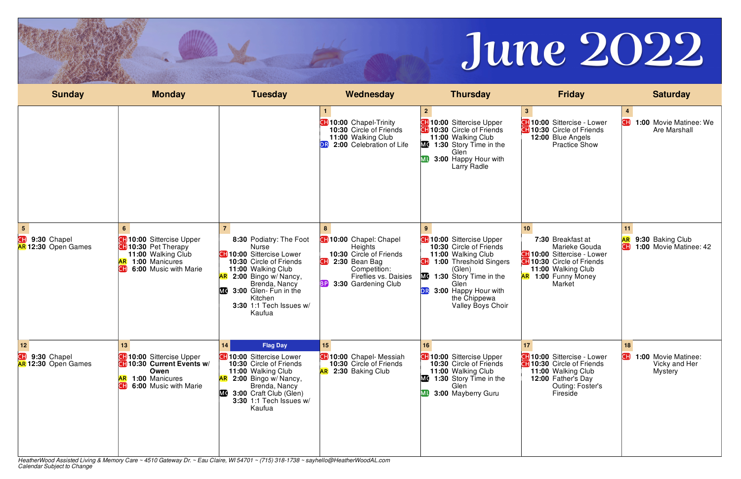HeatherWood Assisted Living & Memory Care ~ 4510 Gateway Dr. ~ Eau Claire, WI 54701 ~ (715) 318-1738 ~ sayhello@HeatherWoodAL.com *Calendar Subject to Change*



|                                                     |                                                                                                                                                 |                                                                                                                                                                                                                                                                |                                                                                                                                                                  |                                                                                                                                                                                                                                                    | June 2022                                                                                                                                                                     |                                                                          |
|-----------------------------------------------------|-------------------------------------------------------------------------------------------------------------------------------------------------|----------------------------------------------------------------------------------------------------------------------------------------------------------------------------------------------------------------------------------------------------------------|------------------------------------------------------------------------------------------------------------------------------------------------------------------|----------------------------------------------------------------------------------------------------------------------------------------------------------------------------------------------------------------------------------------------------|-------------------------------------------------------------------------------------------------------------------------------------------------------------------------------|--------------------------------------------------------------------------|
| <b>Sunday</b>                                       | <b>Monday</b>                                                                                                                                   | <b>Tuesday</b>                                                                                                                                                                                                                                                 | Wednesday                                                                                                                                                        | <b>Thursday</b>                                                                                                                                                                                                                                    | <b>Friday</b>                                                                                                                                                                 | <b>Saturday</b>                                                          |
|                                                     |                                                                                                                                                 |                                                                                                                                                                                                                                                                | <b>CH</b> 10:00 Chapel-Trinity<br>10:30 Circle of Friends<br>11:00 Walking Club<br>2:00 Celebration of Life                                                      | <b>CH</b> 10:00 Sittercise Upper<br><b>CH</b> 10:30 Circle of Friends<br>11:00 Walking Club<br>MC 1:30 Story Time in the<br>Glen<br><b>MI</b> 3:00 Happy Hour with<br>Larry Radle                                                                  | 3 <sup>1</sup><br><b>47 10:00 Sittercise - Lower</b><br><b>CH</b> 10:30 Circle of Friends<br>12:00 Blue Angels<br><b>Practice Show</b>                                        | 1:00 Movie Matinee: We<br>Are Marshall                                   |
| 5<br>Œ<br>9:30 Chapel<br><b>AR 12:30 Open Games</b> | 6 <sup>1</sup><br><b>10:00</b> Sittercise Upper<br><b>CH</b> 10:30 Pet Therapy<br>11:00 Walking Club<br>1:00 Manicures<br>6:00 Music with Marie | 8:30 Podiatry: The Foot<br><b>Nurse</b><br><b>CH</b> 10:00 Sittercise Lower<br>10:30 Circle of Friends<br>11:00 Walking Club<br>AR 2:00 Bingo w/ Nancy,<br>Brenda, Nancy<br><b>MC</b><br>3:00 Glen- Fun in the<br>Kitchen<br>3:30 1:1 Tech Issues w/<br>Kaufua | <b>10:00</b> Chapel: Chapel<br><b>Heights</b><br>10:30 Circle of Friends<br>2:30 Bean Bag<br>Competition:<br>Fireflies vs. Daisies<br>3:30 Gardening Club<br>BPI | <b>CH</b> 10:00 Sittercise Upper<br>10:30 Circle of Friends<br>11:00 Walking Club<br><b>1:00 Threshold Singers</b><br>(Glen)<br>MC 1:30 Story Time in the<br>Glen<br><b>DR</b><br>3:00 Happy Hour with<br>the Chippewa<br><b>Valley Boys Choir</b> | 10<br>7:30 Breakfast at<br>Marieke Gouda<br><b>4110:00 Sittercise - Lower</b><br><b>10:30</b> Circle of Friends<br>11:00 Walking Club<br><b>AR</b> 1:00 Funny Money<br>Market | 11<br>AR<br>9:30 Baking Club<br>CH)<br>1:00 Movie Matinee: 42            |
| 12<br>Œ<br>9:30 Chapel<br>AR 12:30 Open Games       | 13<br><b>CH</b> 10:00 Sittercise Upper<br>10:30 Current Events w/<br>Owen<br>AR 1:00 Manicures<br>6:00 Music with Marie<br>CH.                  | 14<br><b>Flag Day</b><br><b>CH</b> 10:00 Sittercise Lower<br>10:30 Circle of Friends<br>11:00 Walking Club<br>$AR$ 2:00 Bingo w/ Nancy,<br>Brenda, Nancy<br><b>MC</b> 3:00 Craft Club (Glen)<br><b>3:30 1:1 Tech Issues w/</b><br>Kaufua                       | 15 <sup>15</sup><br><b>CH</b> 10:00 Chapel- Messiah<br>10:30 Circle of Friends<br><b>AR</b> 2:30 Baking Club                                                     | 16<br><b>CH</b> 10:00 Sittercise Upper<br>10:30 Circle of Friends<br>11:00 Walking Club<br>MC 1:30 Story Time in the<br>Glen<br><b>MI</b> 3:00 Mayberry Guru                                                                                       | 17<br><b>CH</b> 10:00 Sittercise - Lower<br><b>CH</b> 10:30 Circle of Friends<br>11:00 Walking Club<br>12:00 Father's Day<br>Outing: Foster's<br>Fireside                     | 18<br>Œ<br><b>1:00 Movie Matinee:</b><br>Vicky and Her<br><b>Mystery</b> |